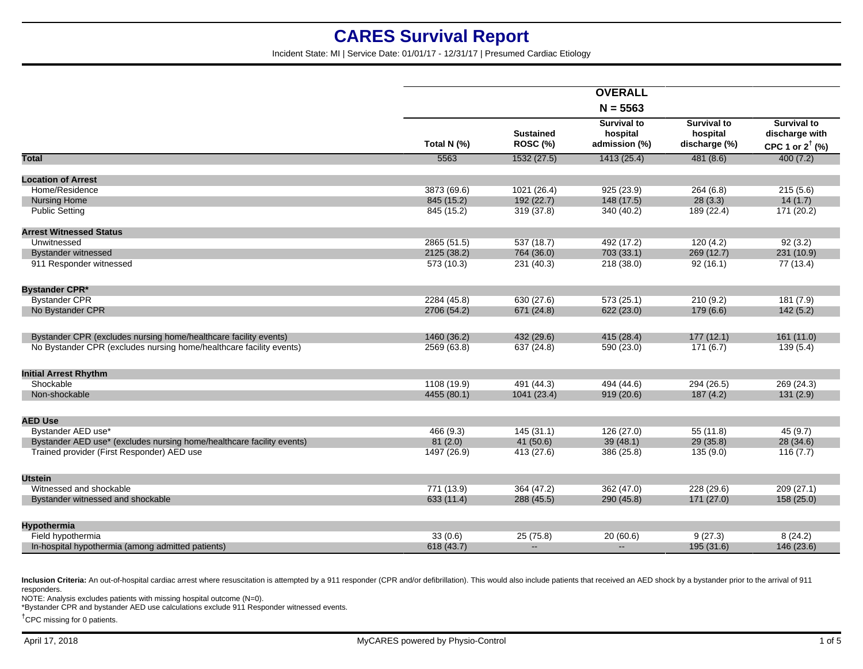Incident State: MI | Service Date: 01/01/17 - 12/31/17 | Presumed Cardiac Etiology

|                                                                       |             |                                     | <b>OVERALL</b>                                  |                                                 |                                                                    |
|-----------------------------------------------------------------------|-------------|-------------------------------------|-------------------------------------------------|-------------------------------------------------|--------------------------------------------------------------------|
|                                                                       |             |                                     | $N = 5563$                                      |                                                 |                                                                    |
|                                                                       | Total N (%) | <b>Sustained</b><br><b>ROSC (%)</b> | <b>Survival to</b><br>hospital<br>admission (%) | <b>Survival to</b><br>hospital<br>discharge (%) | <b>Survival to</b><br>discharge with<br>CPC 1 or $2^{\dagger}$ (%) |
| <b>Total</b>                                                          | 5563        | 1532 (27.5)                         | 1413(25.4)                                      | 481(8.6)                                        | 400(7.2)                                                           |
| <b>Location of Arrest</b>                                             |             |                                     |                                                 |                                                 |                                                                    |
| Home/Residence                                                        | 3873 (69.6) | 1021 (26.4)                         | 925(23.9)                                       | 264(6.8)                                        | 215(5.6)                                                           |
| <b>Nursing Home</b>                                                   | 845 (15.2)  | 192 (22.7)                          | 148(17.5)                                       | 28(3.3)                                         | 14(1.7)                                                            |
| <b>Public Setting</b>                                                 | 845 (15.2)  | 319 (37.8)                          | 340 (40.2)                                      | 189 (22.4)                                      | 171 (20.2)                                                         |
| <b>Arrest Witnessed Status</b>                                        |             |                                     |                                                 |                                                 |                                                                    |
| Unwitnessed                                                           | 2865 (51.5) | 537 (18.7)                          | 492 (17.2)                                      | 120(4.2)                                        | 92(3.2)                                                            |
| <b>Bystander witnessed</b>                                            | 2125 (38.2) | 764 (36.0)                          | 703 (33.1)                                      | 269 (12.7)                                      | 231 (10.9)                                                         |
| 911 Responder witnessed                                               | 573 (10.3)  | 231 (40.3)                          | 218 (38.0)                                      | 92(16.1)                                        | 77 (13.4)                                                          |
| <b>Bystander CPR*</b>                                                 |             |                                     |                                                 |                                                 |                                                                    |
| <b>Bystander CPR</b>                                                  | 2284 (45.8) | 630 (27.6)                          | 573(25.1)                                       | 210(9.2)                                        | 181(7.9)                                                           |
| No Bystander CPR                                                      | 2706 (54.2) | 671 (24.8)                          | 622 (23.0)                                      | 179(6.6)                                        | 142(5.2)                                                           |
| Bystander CPR (excludes nursing home/healthcare facility events)      | 1460 (36.2) | 432 (29.6)                          | 415 (28.4)                                      | 177(12.1)                                       | 161(11.0)                                                          |
| No Bystander CPR (excludes nursing home/healthcare facility events)   | 2569 (63.8) | 637 (24.8)                          | 590 (23.0)                                      | 171(6.7)                                        | 139(5.4)                                                           |
| <b>Initial Arrest Rhythm</b>                                          |             |                                     |                                                 |                                                 |                                                                    |
| Shockable                                                             | 1108 (19.9) | 491 (44.3)                          | 494 (44.6)                                      | 294 (26.5)                                      | 269 (24.3)                                                         |
| Non-shockable                                                         | 4455 (80.1) | 1041 (23.4)                         | 919(20.6)                                       | 187(4.2)                                        | 131(2.9)                                                           |
| <b>AED Use</b>                                                        |             |                                     |                                                 |                                                 |                                                                    |
| Bystander AED use*                                                    | 466 (9.3)   | 145(31.1)                           | 126(27.0)                                       | 55(11.8)                                        | 45(9.7)                                                            |
| Bystander AED use* (excludes nursing home/healthcare facility events) | 81(2.0)     | 41(50.6)                            | 39(48.1)                                        | 29(35.8)                                        | 28(34.6)                                                           |
| Trained provider (First Responder) AED use                            | 1497 (26.9) | 413 (27.6)                          | 386 (25.8)                                      | 135(9.0)                                        | 116(7.7)                                                           |
| <b>Utstein</b>                                                        |             |                                     |                                                 |                                                 |                                                                    |
| Witnessed and shockable                                               | 771 (13.9)  | 364 (47.2)                          | 362 (47.0)                                      | 228 (29.6)                                      | 209(27.1)                                                          |
| Bystander witnessed and shockable                                     | 633 (11.4)  | 288 (45.5)                          | 290 (45.8)                                      | 171(27.0)                                       | 158(25.0)                                                          |
| <b>Hypothermia</b>                                                    |             |                                     |                                                 |                                                 |                                                                    |
| Field hypothermia                                                     | 33(0.6)     | 25(75.8)                            | 20(60.6)                                        | 9(27.3)                                         | 8(24.2)                                                            |
| In-hospital hypothermia (among admitted patients)                     | 618 (43.7)  | $\sim$                              | $\sim$                                          | 195 (31.6)                                      | 146 (23.6)                                                         |
|                                                                       |             |                                     |                                                 |                                                 |                                                                    |

Inclusion Criteria: An out-of-hospital cardiac arrest where resuscitation is attempted by a 911 responder (CPR and/or defibrillation). This would also include patients that received an AED shock by a bystander prior to the responders.

NOTE: Analysis excludes patients with missing hospital outcome (N=0).

\*Bystander CPR and bystander AED use calculations exclude 911 Responder witnessed events.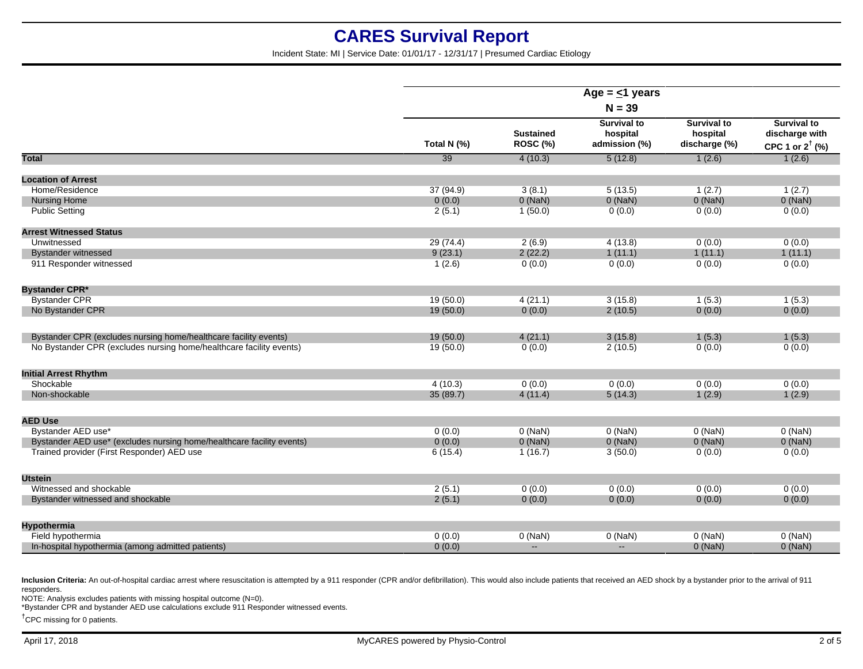Incident State: MI | Service Date: 01/01/17 - 12/31/17 | Presumed Cardiac Etiology

|                                                                       |                 |                                     | Age = $\leq$ 1 years                            |                                                 |                                                                    |
|-----------------------------------------------------------------------|-----------------|-------------------------------------|-------------------------------------------------|-------------------------------------------------|--------------------------------------------------------------------|
|                                                                       |                 |                                     | $N = 39$                                        |                                                 |                                                                    |
|                                                                       | Total N (%)     | <b>Sustained</b><br><b>ROSC (%)</b> | <b>Survival to</b><br>hospital<br>admission (%) | <b>Survival to</b><br>hospital<br>discharge (%) | <b>Survival to</b><br>discharge with<br>CPC 1 or $2^{\dagger}$ (%) |
| <b>Total</b>                                                          | $\overline{39}$ | 4(10.3)                             | 5(12.8)                                         | 1(2.6)                                          | 1(2.6)                                                             |
| <b>Location of Arrest</b>                                             |                 |                                     |                                                 |                                                 |                                                                    |
| Home/Residence                                                        | 37 (94.9)       | 3(8.1)                              | 5(13.5)                                         | 1(2.7)                                          | 1(2.7)                                                             |
| <b>Nursing Home</b>                                                   | 0(0.0)          | $0$ (NaN)                           | $0$ (NaN)                                       | $0$ (NaN)                                       | $0$ (NaN)                                                          |
| <b>Public Setting</b>                                                 | 2(5.1)          | 1(50.0)                             | 0(0.0)                                          | 0(0.0)                                          | 0(0.0)                                                             |
| <b>Arrest Witnessed Status</b>                                        |                 |                                     |                                                 |                                                 |                                                                    |
| Unwitnessed                                                           | 29 (74.4)       | 2(6.9)                              | 4(13.8)                                         | 0(0.0)                                          | 0(0.0)                                                             |
| <b>Bystander witnessed</b>                                            | 9(23.1)         | 2(22.2)                             | 1(11.1)                                         | 1(11.1)                                         | 1(11.1)                                                            |
| 911 Responder witnessed                                               | 1(2.6)          | 0(0.0)                              | 0(0.0)                                          | 0(0.0)                                          | 0(0.0)                                                             |
| <b>Bystander CPR*</b>                                                 |                 |                                     |                                                 |                                                 |                                                                    |
| <b>Bystander CPR</b>                                                  | 19(50.0)        | 4(21.1)                             | 3(15.8)                                         | 1(5.3)                                          | 1(5.3)                                                             |
| No Bystander CPR                                                      | 19(50.0)        | 0(0.0)                              | 2(10.5)                                         | 0(0.0)                                          | 0(0.0)                                                             |
| Bystander CPR (excludes nursing home/healthcare facility events)      | 19 (50.0)       | 4(21.1)                             | 3(15.8)                                         | 1(5.3)                                          | 1(5.3)                                                             |
| No Bystander CPR (excludes nursing home/healthcare facility events)   | 19(50.0)        | 0(0.0)                              | 2(10.5)                                         | 0(0.0)                                          | 0(0.0)                                                             |
| <b>Initial Arrest Rhythm</b>                                          |                 |                                     |                                                 |                                                 |                                                                    |
| Shockable                                                             | 4(10.3)         | 0(0.0)                              | 0(0.0)                                          | 0(0.0)                                          | 0(0.0)                                                             |
| Non-shockable                                                         | 35 (89.7)       | 4(11.4)                             | 5(14.3)                                         | 1(2.9)                                          | 1(2.9)                                                             |
| <b>AED Use</b>                                                        |                 |                                     |                                                 |                                                 |                                                                    |
| Bystander AED use*                                                    | 0(0.0)          | $0$ (NaN)                           | $0$ (NaN)                                       | $0$ (NaN)                                       | $0$ (NaN)                                                          |
| Bystander AED use* (excludes nursing home/healthcare facility events) | 0(0.0)          | $0$ (NaN)                           | $0$ (NaN)                                       | $0$ (NaN)                                       | $0$ (NaN)                                                          |
| Trained provider (First Responder) AED use                            | 6(15.4)         | 1(16.7)                             | 3(50.0)                                         | 0(0.0)                                          | 0(0.0)                                                             |
| <b>Utstein</b>                                                        |                 |                                     |                                                 |                                                 |                                                                    |
| Witnessed and shockable                                               | 2(5.1)          | 0(0.0)                              | 0(0.0)                                          | 0(0.0)                                          | 0(0.0)                                                             |
| Bystander witnessed and shockable                                     | 2(5.1)          | 0(0.0)                              | 0(0.0)                                          | 0(0.0)                                          | 0(0.0)                                                             |
| Hypothermia                                                           |                 |                                     |                                                 |                                                 |                                                                    |
| Field hypothermia                                                     | 0(0.0)          | $0$ (NaN)                           | $0$ (NaN)                                       | $0$ (NaN)                                       | $0$ (NaN)                                                          |
| In-hospital hypothermia (among admitted patients)                     | 0(0.0)          | $\mathbf{H}$                        | $\mathbf{u} = \mathbf{v}$                       | $0$ (NaN)                                       | $0$ (NaN)                                                          |

Inclusion Criteria: An out-of-hospital cardiac arrest where resuscitation is attempted by a 911 responder (CPR and/or defibrillation). This would also include patients that received an AED shock by a bystander prior to the responders.

NOTE: Analysis excludes patients with missing hospital outcome (N=0).

\*Bystander CPR and bystander AED use calculations exclude 911 Responder witnessed events.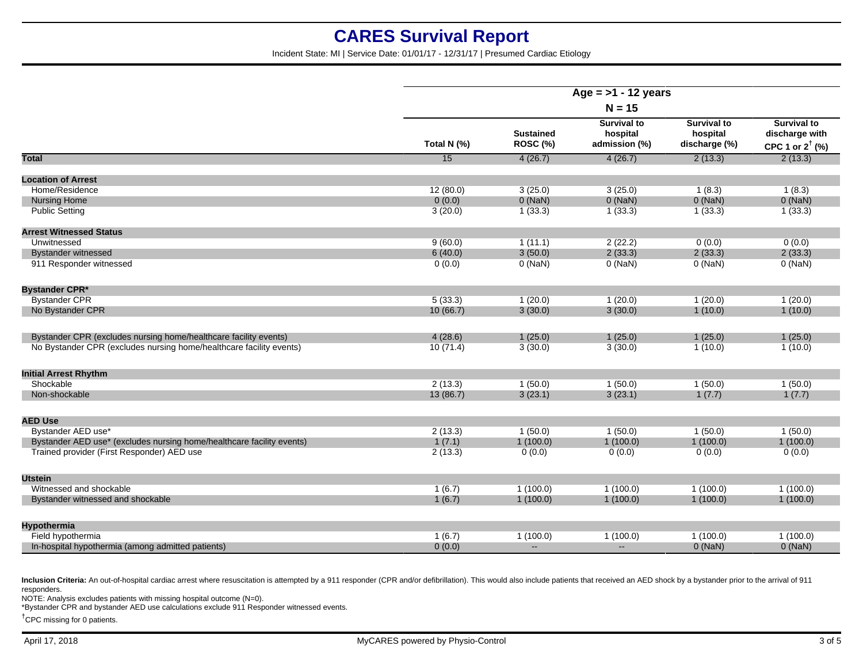Incident State: MI | Service Date: 01/01/17 - 12/31/17 | Presumed Cardiac Etiology

|                                                                       | Age = $>1$ - 12 years |                              |                                                 |                                                 |                                                                    |
|-----------------------------------------------------------------------|-----------------------|------------------------------|-------------------------------------------------|-------------------------------------------------|--------------------------------------------------------------------|
|                                                                       | $N = 15$              |                              |                                                 |                                                 |                                                                    |
|                                                                       | Total N (%)           | <b>Sustained</b><br>ROSC (%) | <b>Survival to</b><br>hospital<br>admission (%) | <b>Survival to</b><br>hospital<br>discharge (%) | <b>Survival to</b><br>discharge with<br>CPC 1 or $2^{\dagger}$ (%) |
| Total                                                                 | $\overline{15}$       | 4(26.7)                      | 4(26.7)                                         | 2(13.3)                                         | 2(13.3)                                                            |
| <b>Location of Arrest</b>                                             |                       |                              |                                                 |                                                 |                                                                    |
| Home/Residence                                                        | 12(80.0)              | 3(25.0)                      | 3(25.0)                                         | 1(8.3)                                          | 1(8.3)                                                             |
| <b>Nursing Home</b>                                                   | 0(0.0)                | $0$ (NaN)                    | $0$ (NaN)                                       | $0$ (NaN)                                       | $0$ (NaN)                                                          |
| <b>Public Setting</b>                                                 | 3(20.0)               | 1(33.3)                      | 1(33.3)                                         | 1(33.3)                                         | 1(33.3)                                                            |
| <b>Arrest Witnessed Status</b>                                        |                       |                              |                                                 |                                                 |                                                                    |
| Unwitnessed                                                           | 9(60.0)               | 1(11.1)                      | 2(22.2)                                         | 0(0.0)                                          | 0(0.0)                                                             |
| <b>Bystander witnessed</b>                                            | 6(40.0)               | 3(50.0)                      | 2(33.3)                                         | 2(33.3)                                         | 2(33.3)                                                            |
| 911 Responder witnessed                                               | 0(0.0)                | $0$ (NaN)                    | $0$ (NaN)                                       | $0$ (NaN)                                       | $0$ (NaN)                                                          |
| <b>Bystander CPR*</b>                                                 |                       |                              |                                                 |                                                 |                                                                    |
| <b>Bystander CPR</b>                                                  | 5(33.3)               | 1(20.0)                      | 1(20.0)                                         | 1(20.0)                                         | 1(20.0)                                                            |
| No Bystander CPR                                                      | 10(66.7)              | 3(30.0)                      | 3(30.0)                                         | 1(10.0)                                         | 1(10.0)                                                            |
| Bystander CPR (excludes nursing home/healthcare facility events)      | 4(28.6)               | 1(25.0)                      | 1(25.0)                                         | 1(25.0)                                         | 1(25.0)                                                            |
| No Bystander CPR (excludes nursing home/healthcare facility events)   | 10(71.4)              | 3(30.0)                      | 3(30.0)                                         | 1(10.0)                                         | 1(10.0)                                                            |
| <b>Initial Arrest Rhythm</b>                                          |                       |                              |                                                 |                                                 |                                                                    |
| Shockable                                                             | 2(13.3)               | 1(50.0)                      | 1(50.0)                                         | 1(50.0)                                         | 1(50.0)                                                            |
| Non-shockable                                                         | 13(86.7)              | 3(23.1)                      | 3(23.1)                                         | 1(7.7)                                          | 1(7.7)                                                             |
| <b>AED Use</b>                                                        |                       |                              |                                                 |                                                 |                                                                    |
| Bystander AED use*                                                    | 2(13.3)               | 1(50.0)                      | 1(50.0)                                         | 1(50.0)                                         | 1(50.0)                                                            |
| Bystander AED use* (excludes nursing home/healthcare facility events) | 1(7.1)                | 1(100.0)                     | 1(100.0)                                        | 1(100.0)                                        | 1(100.0)                                                           |
| Trained provider (First Responder) AED use                            | 2(13.3)               | 0(0.0)                       | 0(0.0)                                          | 0(0.0)                                          | 0(0.0)                                                             |
| <b>Utstein</b>                                                        |                       |                              |                                                 |                                                 |                                                                    |
| Witnessed and shockable                                               | 1(6.7)                | 1(100.0)                     | 1(100.0)                                        | 1(100.0)                                        | 1(100.0)                                                           |
| Bystander witnessed and shockable                                     | 1(6.7)                | 1(100.0)                     | 1(100.0)                                        | 1(100.0)                                        | 1(100.0)                                                           |
| Hypothermia                                                           |                       |                              |                                                 |                                                 |                                                                    |
| Field hypothermia                                                     | 1(6.7)                | 1(100.0)                     | 1(100.0)                                        | 1(100.0)                                        | 1(100.0)                                                           |
| In-hospital hypothermia (among admitted patients)                     | 0(0.0)                | $\mathbf{u} = \mathbf{v}$    | $\sim$                                          | $0$ (NaN)                                       | $0$ (NaN)                                                          |

Inclusion Criteria: An out-of-hospital cardiac arrest where resuscitation is attempted by a 911 responder (CPR and/or defibrillation). This would also include patients that received an AED shock by a bystander prior to the responders.

NOTE: Analysis excludes patients with missing hospital outcome (N=0).

\*Bystander CPR and bystander AED use calculations exclude 911 Responder witnessed events.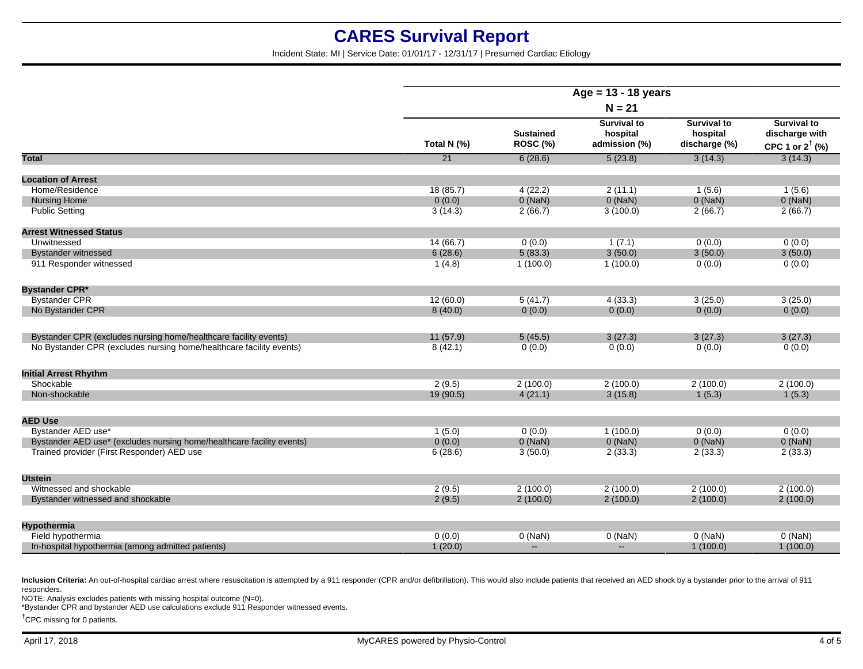Incident State: MI | Service Date: 01/01/17 - 12/31/17 | Presumed Cardiac Etiology

|                                                                       | $Age = 13 - 18 years$ |                              |                                                 |                                                 |                                                                    |
|-----------------------------------------------------------------------|-----------------------|------------------------------|-------------------------------------------------|-------------------------------------------------|--------------------------------------------------------------------|
|                                                                       | $N = 21$              |                              |                                                 |                                                 |                                                                    |
|                                                                       | Total N (%)           | <b>Sustained</b><br>ROSC (%) | <b>Survival to</b><br>hospital<br>admission (%) | <b>Survival to</b><br>hospital<br>discharge (%) | <b>Survival to</b><br>discharge with<br>CPC 1 or $2^{\dagger}$ (%) |
| <b>Total</b>                                                          | 21                    | 6(28.6)                      | 5(23.8)                                         | 3(14.3)                                         | 3(14.3)                                                            |
| <b>Location of Arrest</b>                                             |                       |                              |                                                 |                                                 |                                                                    |
| Home/Residence                                                        | 18(85.7)              | 4(22.2)                      | 2(11.1)                                         | 1(5.6)                                          | 1(5.6)                                                             |
| <b>Nursing Home</b>                                                   | 0(0.0)                | $0$ (NaN)                    | $0$ (NaN)                                       | $0$ (NaN)                                       | $0$ (NaN)                                                          |
| <b>Public Setting</b>                                                 | 3(14.3)               | 2(66.7)                      | 3(100.0)                                        | 2(66.7)                                         | 2(66.7)                                                            |
| <b>Arrest Witnessed Status</b>                                        |                       |                              |                                                 |                                                 |                                                                    |
| Unwitnessed                                                           | 14 (66.7)             | 0(0.0)                       | 1(7.1)                                          | 0(0.0)                                          | 0(0.0)                                                             |
| <b>Bystander witnessed</b>                                            | 6(28.6)               | 5(83.3)                      | 3(50.0)                                         | 3(50.0)                                         | 3(50.0)                                                            |
| 911 Responder witnessed                                               | 1(4.8)                | 1(100.0)                     | 1(100.0)                                        | 0(0.0)                                          | 0(0.0)                                                             |
| <b>Bystander CPR*</b>                                                 |                       |                              |                                                 |                                                 |                                                                    |
| <b>Bystander CPR</b>                                                  | 12(60.0)              | 5(41.7)                      | 4(33.3)                                         | 3(25.0)                                         | 3(25.0)                                                            |
| No Bystander CPR                                                      | 8(40.0)               | 0(0.0)                       | 0(0.0)                                          | 0(0.0)                                          | 0(0.0)                                                             |
| Bystander CPR (excludes nursing home/healthcare facility events)      | 11(57.9)              | 5(45.5)                      | 3(27.3)                                         | 3(27.3)                                         | 3(27.3)                                                            |
| No Bystander CPR (excludes nursing home/healthcare facility events)   | 8(42.1)               | 0(0.0)                       | 0(0.0)                                          | 0(0.0)                                          | 0(0.0)                                                             |
| <b>Initial Arrest Rhythm</b>                                          |                       |                              |                                                 |                                                 |                                                                    |
| Shockable                                                             | 2(9.5)                | 2(100.0)                     | 2(100.0)                                        | 2(100.0)                                        | 2(100.0)                                                           |
| Non-shockable                                                         | 19 (90.5)             | 4(21.1)                      | 3(15.8)                                         | 1(5.3)                                          | 1(5.3)                                                             |
| <b>AED Use</b>                                                        |                       |                              |                                                 |                                                 |                                                                    |
| Bystander AED use*                                                    | 1(5.0)                | 0(0.0)                       | 1(100.0)                                        | 0(0.0)                                          | 0(0.0)                                                             |
| Bystander AED use* (excludes nursing home/healthcare facility events) | 0(0.0)                | $0$ (NaN)                    | 0(NaN)                                          | $0$ (NaN)                                       | $0$ (NaN)                                                          |
| Trained provider (First Responder) AED use                            | 6(28.6)               | 3(50.0)                      | 2(33.3)                                         | 2(33.3)                                         | 2(33.3)                                                            |
| <b>Utstein</b>                                                        |                       |                              |                                                 |                                                 |                                                                    |
| Witnessed and shockable                                               | 2(9.5)                | 2(100.0)                     | 2(100.0)                                        | 2(100.0)                                        | 2(100.0)                                                           |
| Bystander witnessed and shockable                                     | 2(9.5)                | 2(100.0)                     | 2(100.0)                                        | 2(100.0)                                        | 2(100.0)                                                           |
| Hypothermia                                                           |                       |                              |                                                 |                                                 |                                                                    |
| Field hypothermia                                                     | 0(0.0)                | $0$ (NaN)                    | $0$ (NaN)                                       | $0$ (NaN)                                       | $0$ (NaN)                                                          |
| In-hospital hypothermia (among admitted patients)                     | 1(20.0)               | $\sim$                       | $\sim$                                          | 1(100.0)                                        | 1(100.0)                                                           |
|                                                                       |                       |                              |                                                 |                                                 |                                                                    |

Inclusion Criteria: An out-of-hospital cardiac arrest where resuscitation is attempted by a 911 responder (CPR and/or defibrillation). This would also include patients that received an AED shock by a bystander prior to the responders.

NOTE: Analysis excludes patients with missing hospital outcome (N=0).

\*Bystander CPR and bystander AED use calculations exclude 911 Responder witnessed events.